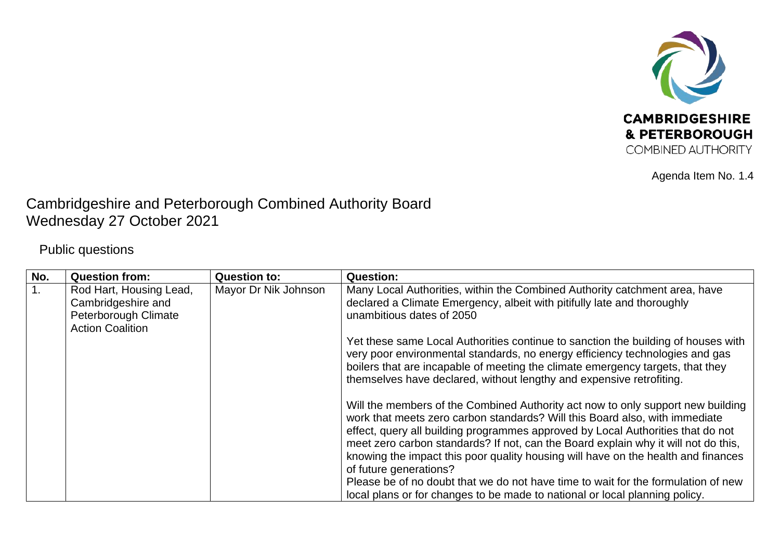

Agenda Item No. 1.4

## Cambridgeshire and Peterborough Combined Authority Board Wednesday 27 October 2021

Public questions

| No.              | <b>Question from:</b>                                                                            | <b>Question to:</b>  | <b>Question:</b>                                                                                                                                                                                                                                                                                                                                                                                                                                                                                                                            |
|------------------|--------------------------------------------------------------------------------------------------|----------------------|---------------------------------------------------------------------------------------------------------------------------------------------------------------------------------------------------------------------------------------------------------------------------------------------------------------------------------------------------------------------------------------------------------------------------------------------------------------------------------------------------------------------------------------------|
| $\overline{1}$ . | Rod Hart, Housing Lead,<br>Cambridgeshire and<br>Peterborough Climate<br><b>Action Coalition</b> | Mayor Dr Nik Johnson | Many Local Authorities, within the Combined Authority catchment area, have<br>declared a Climate Emergency, albeit with pitifully late and thoroughly<br>unambitious dates of 2050                                                                                                                                                                                                                                                                                                                                                          |
|                  |                                                                                                  |                      | Yet these same Local Authorities continue to sanction the building of houses with<br>very poor environmental standards, no energy efficiency technologies and gas<br>boilers that are incapable of meeting the climate emergency targets, that they<br>themselves have declared, without lengthy and expensive retrofiting.                                                                                                                                                                                                                 |
|                  |                                                                                                  |                      | Will the members of the Combined Authority act now to only support new building<br>work that meets zero carbon standards? Will this Board also, with immediate<br>effect, query all building programmes approved by Local Authorities that do not<br>meet zero carbon standards? If not, can the Board explain why it will not do this,<br>knowing the impact this poor quality housing will have on the health and finances<br>of future generations?<br>Please be of no doubt that we do not have time to wait for the formulation of new |
|                  |                                                                                                  |                      | local plans or for changes to be made to national or local planning policy.                                                                                                                                                                                                                                                                                                                                                                                                                                                                 |